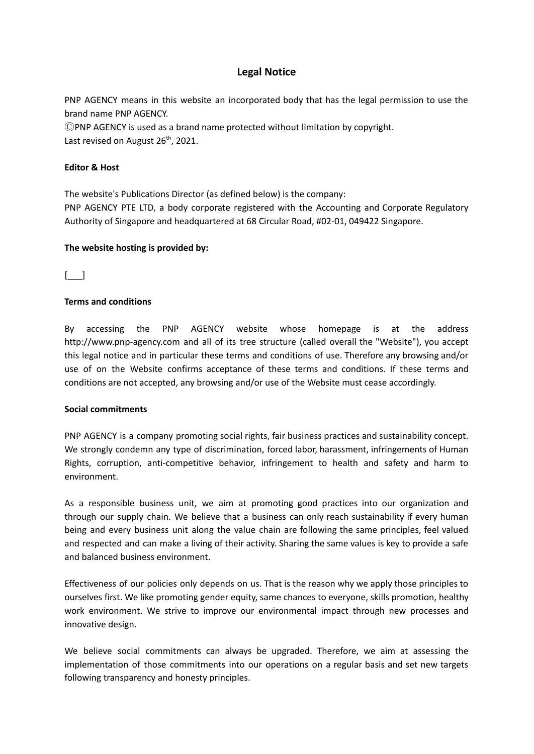# **Legal Notice**

PNP AGENCY means in this website an incorporated body that has the legal permission to use the brand name PNP AGENCY.

ⒸPNP AGENCY is used as a brand name protected without limitation by copyright. Last revised on August 26<sup>th</sup>, 2021.

## **Editor & Host**

The website's Publications Director (as defined below) is the company:

PNP AGENCY PTE LTD, a body corporate registered with the Accounting and Corporate Regulatory Authority of Singapore and headquartered at 68 Circular Road, #02-01, 049422 Singapore.

## **The website hosting is provided by:**

 $[$   $]$ 

## **Terms and conditions**

By accessing the PNP AGENCY website whose homepage is at the address http://www.pnp-agency.com and all of its tree structure (called overall the "Website"), you accept this legal notice and in particular these terms and conditions of use. Therefore any browsing and/or use of on the Website confirms acceptance of these terms and conditions. If these terms and conditions are not accepted, any browsing and/or use of the Website must cease accordingly.

#### **Social commitments**

PNP AGENCY is a company promoting social rights, fair business practices and sustainability concept. We strongly condemn any type of discrimination, forced labor, harassment, infringements of Human Rights, corruption, anti-competitive behavior, infringement to health and safety and harm to environment.

As a responsible business unit, we aim at promoting good practices into our organization and through our supply chain. We believe that a business can only reach sustainability if every human being and every business unit along the value chain are following the same principles, feel valued and respected and can make a living of their activity. Sharing the same values is key to provide a safe and balanced business environment.

Effectiveness of our policies only depends on us. That is the reason why we apply those principles to ourselves first. We like promoting gender equity, same chances to everyone, skills promotion, healthy work environment. We strive to improve our environmental impact through new processes and innovative design.

We believe social commitments can always be upgraded. Therefore, we aim at assessing the implementation of those commitments into our operations on a regular basis and set new targets following transparency and honesty principles.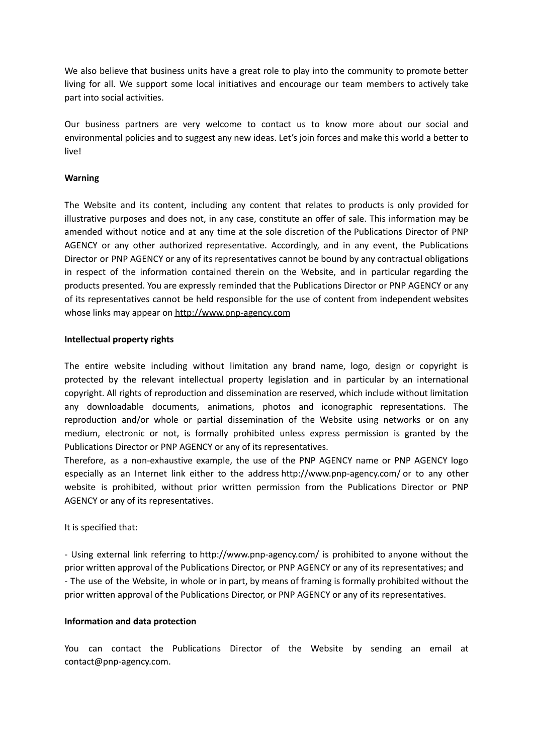We also believe that business units have a great role to play into the community to promote better living for all. We support some local initiatives and encourage our team members to actively take part into social activities.

Our business partners are very welcome to contact us to know more about our social and environmental policies and to suggest any new ideas. Let's join forces and make this world a better to live!

## **Warning**

The Website and its content, including any content that relates to products is only provided for illustrative purposes and does not, in any case, constitute an offer of sale. This information may be amended without notice and at any time at the sole discretion of the Publications Director of PNP AGENCY or any other authorized representative. Accordingly, and in any event, the Publications Director or PNP AGENCY or any of its representatives cannot be bound by any contractual obligations in respect of the information contained therein on the Website, and in particular regarding the products presented. You are expressly reminded that the Publications Director or PNP AGENCY or any of its representatives cannot be held responsible for the use of content from independent websites whose links may appear on <http://www.pnp-agency.com>

#### **Intellectual property rights**

The entire website including without limitation any brand name, logo, design or copyright is protected by the relevant intellectual property legislation and in particular by an international copyright. All rights of reproduction and dissemination are reserved, which include without limitation any downloadable documents, animations, photos and iconographic representations. The reproduction and/or whole or partial dissemination of the Website using networks or on any medium, electronic or not, is formally prohibited unless express permission is granted by the Publications Director or PNP AGENCY or any of its representatives.

Therefore, as a non-exhaustive example, the use of the PNP AGENCY name or PNP AGENCY logo especially as an Internet link either to the address http://www.pnp-agency.com/ or to any other website is prohibited, without prior written permission from the Publications Director or PNP AGENCY or any of its representatives.

#### It is specified that:

- Using external link referring to http://www.pnp-agency.com/ is prohibited to anyone without the prior written approval of the Publications Director, or PNP AGENCY or any of its representatives; and - The use of the Website, in whole or in part, by means of framing is formally prohibited without the prior written approval of the Publications Director, or PNP AGENCY or any of its representatives.

#### **Information and data protection**

You can contact the Publications Director of the Website by sending an email at contact@pnp-agency.com.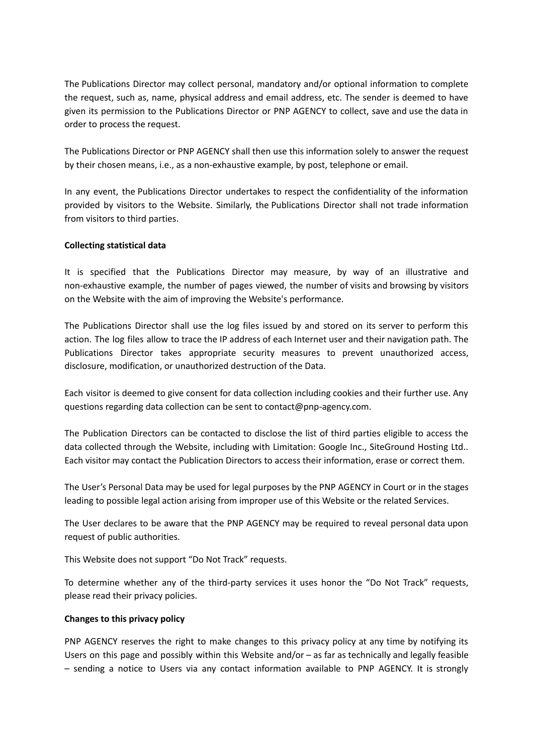The Publications Director may collect personal, mandatory and/or optional information to complete the request, such as, name, physical address and email address, etc. The sender is deemed to have given its permission to the Publications Director or PNP AGENCY to collect, save and use the data in order to process the request.

The Publications Director or PNP AGENCY shall then use this information solely to answer the request by their chosen means, i.e., as a non-exhaustive example, by post, telephone or email.

In any event, the Publications Director undertakes to respect the confidentiality of the information provided by visitors to the Website. Similarly, the Publications Director shall not trade information from visitors to third parties.

# **Collecting statistical data**

It is specified that the Publications Director may measure, by way of an illustrative and non-exhaustive example, the number of pages viewed, the number of visits and browsing by visitors on the Website with the aim of improving the Website's performance.

The Publications Director shall use the log files issued by and stored on its server to perform this action. The log files allow to trace the IP address of each Internet user and their navigation path. The Publications Director takes appropriate security measures to prevent unauthorized access, disclosure, modification, or unauthorized destruction of the Data.

Each visitor is deemed to give consent for data collection including cookies and their further use. Any questions regarding data collection can be sent to contact@pnp-agency.com.

The Publication Directors can be contacted to disclose the list of third parties eligible to access the data collected through the Website, including with Limitation: Google Inc., SiteGround Hosting Ltd.. Each visitor may contact the Publication Directors to access their information, erase or correct them.

The User's Personal Data may be used for legal purposes by the PNP AGENCY in Court or in the stages leading to possible legal action arising from improper use of this Website or the related Services.

The User declares to be aware that the PNP AGENCY may be required to reveal personal data upon request of public authorities.

This Website does not support "Do Not Track" requests.

To determine whether any of the third-party services it uses honor the "Do Not Track" requests, please read their privacy policies.

# **Changes to this privacy policy**

PNP AGENCY reserves the right to make changes to this privacy policy at any time by notifying its Users on this page and possibly within this Website and/or – as far as technically and legally feasible – sending a notice to Users via any contact information available to PNP AGENCY. It is strongly